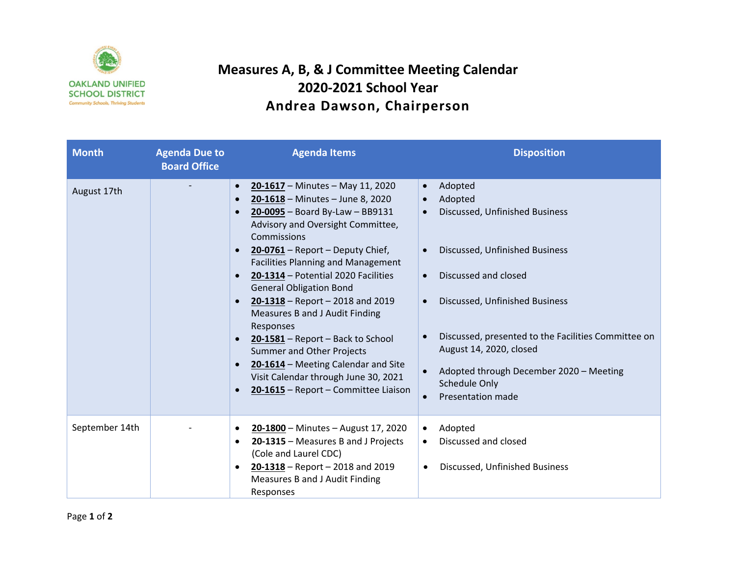

## **Measures A, B, & J Committee Meeting Calendar 2020-2021 School Year Andrea Dawson, Chairperson**

| <b>Month</b>   | <b>Agenda Due to</b><br><b>Board Office</b> | <b>Agenda Items</b>                                                                                                                                                                                                                                                                                                                                                                                                                                                                                                                                                                                                                                                                                                        | <b>Disposition</b>                                                                                                                                                                                                                                                                                                                                                      |
|----------------|---------------------------------------------|----------------------------------------------------------------------------------------------------------------------------------------------------------------------------------------------------------------------------------------------------------------------------------------------------------------------------------------------------------------------------------------------------------------------------------------------------------------------------------------------------------------------------------------------------------------------------------------------------------------------------------------------------------------------------------------------------------------------------|-------------------------------------------------------------------------------------------------------------------------------------------------------------------------------------------------------------------------------------------------------------------------------------------------------------------------------------------------------------------------|
| August 17th    |                                             | 20-1617 - Minutes - May 11, 2020<br>$\bullet$<br>20-1618 - Minutes - June 8, 2020<br>$\bullet$<br>20-0095 - Board By-Law - BB9131<br>$\bullet$<br>Advisory and Oversight Committee,<br>Commissions<br>20-0761 - Report - Deputy Chief,<br>$\bullet$<br><b>Facilities Planning and Management</b><br>20-1314 - Potential 2020 Facilities<br>$\bullet$<br><b>General Obligation Bond</b><br>$20-1318$ – Report – 2018 and 2019<br>$\bullet$<br>Measures B and J Audit Finding<br>Responses<br>$20-1581$ – Report – Back to School<br>$\bullet$<br>Summer and Other Projects<br>20-1614 - Meeting Calendar and Site<br>$\bullet$<br>Visit Calendar through June 30, 2021<br>20-1615 - Report - Committee Liaison<br>$\bullet$ | Adopted<br>$\bullet$<br>Adopted<br>$\bullet$<br>Discussed, Unfinished Business<br>Discussed, Unfinished Business<br>Discussed and closed<br>$\bullet$<br>Discussed, Unfinished Business<br>$\bullet$<br>Discussed, presented to the Facilities Committee on<br>August 14, 2020, closed<br>Adopted through December 2020 - Meeting<br>Schedule Only<br>Presentation made |
| September 14th |                                             | 20-1800 - Minutes - August 17, 2020<br>٠<br>20-1315 - Measures B and J Projects<br>٠<br>(Cole and Laurel CDC)<br>$20-1318$ – Report – 2018 and 2019<br>$\bullet$<br>Measures B and J Audit Finding<br>Responses                                                                                                                                                                                                                                                                                                                                                                                                                                                                                                            | Adopted<br>$\bullet$<br>Discussed and closed<br>$\bullet$<br>Discussed, Unfinished Business                                                                                                                                                                                                                                                                             |